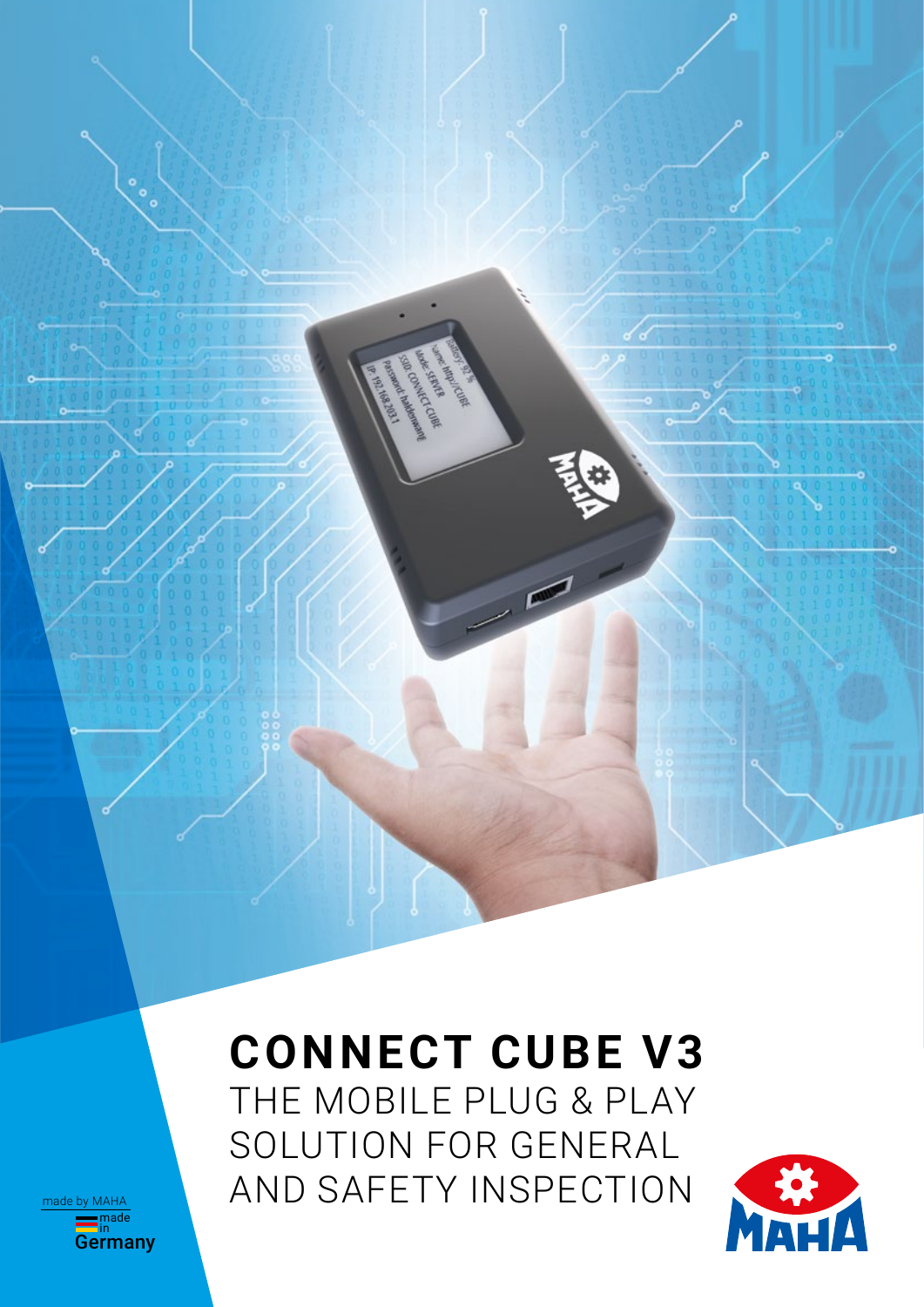# **CONNECT CUBE V3**

**C. C. C. C. C. C. C. C. C. C. C. C.** S. SEARE ē

THE MOBILE PLUG & PLAY SOLUTION FOR GENERAL AND SAFETY INSPECTION



<del>≡</del>nade<br>Germany made by MAHA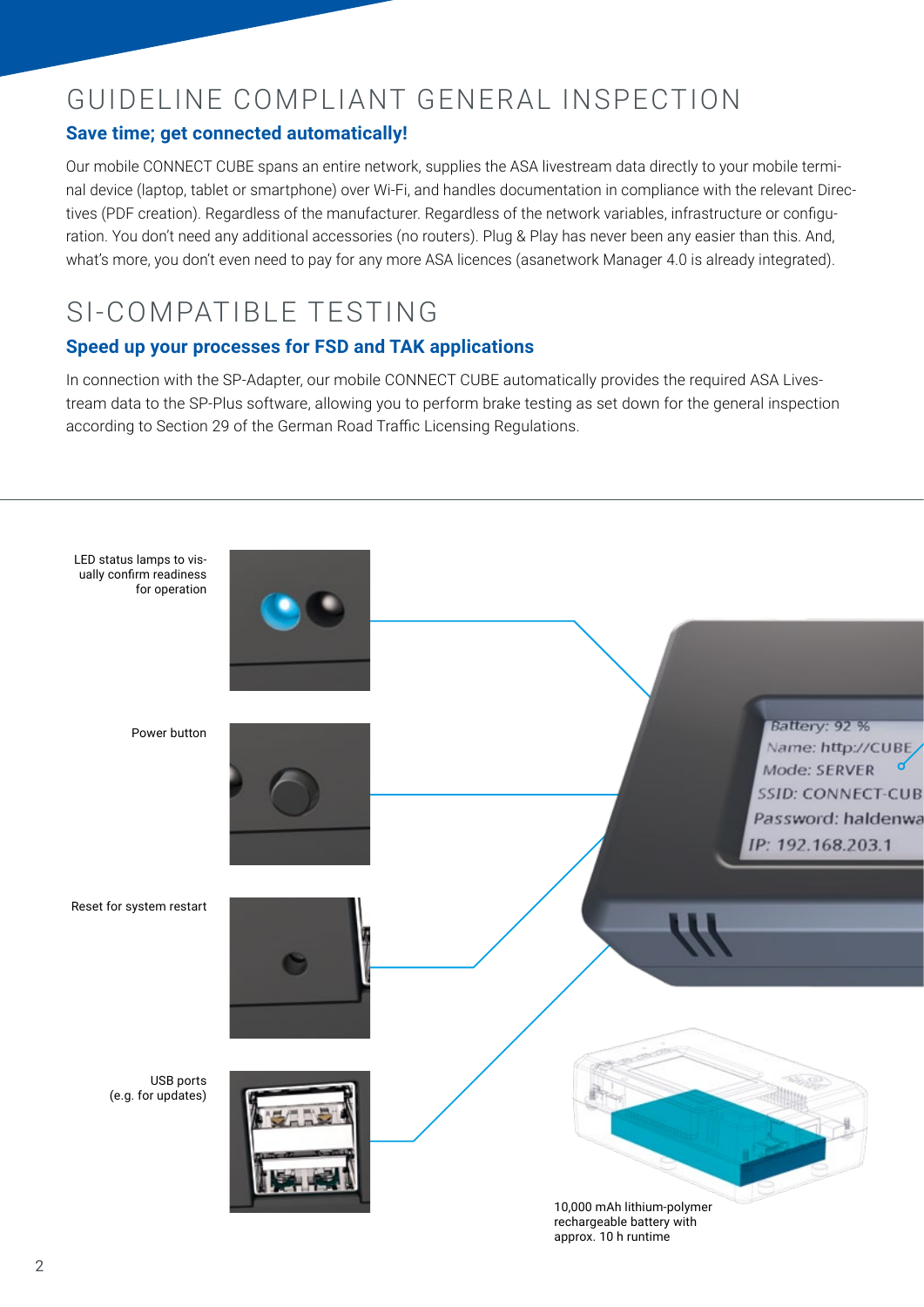# GUIDELINE COMPLIANT GENERAL INSPECTION

### **Save time; get connected automatically!**

Our mobile CONNECT CUBE spans an entire network, supplies the ASA livestream data directly to your mobile terminal device (laptop, tablet or smartphone) over Wi-Fi, and handles documentation in compliance with the relevant Directives (PDF creation). Regardless of the manufacturer. Regardless of the network variables, infrastructure or configuration. You don't need any additional accessories (no routers). Plug & Play has never been any easier than this. And, what's more, you don't even need to pay for any more ASA licences (asanetwork Manager 4.0 is already integrated).

## SI-COMPATIBLE TESTING

### **Speed up your processes for FSD and TAK applications**

In connection with the SP-Adapter, our mobile CONNECT CUBE automatically provides the required ASA Livestream data to the SP-Plus software, allowing you to perform brake testing as set down for the general inspection according to Section 29 of the German Road Traffic Licensing Regulations.

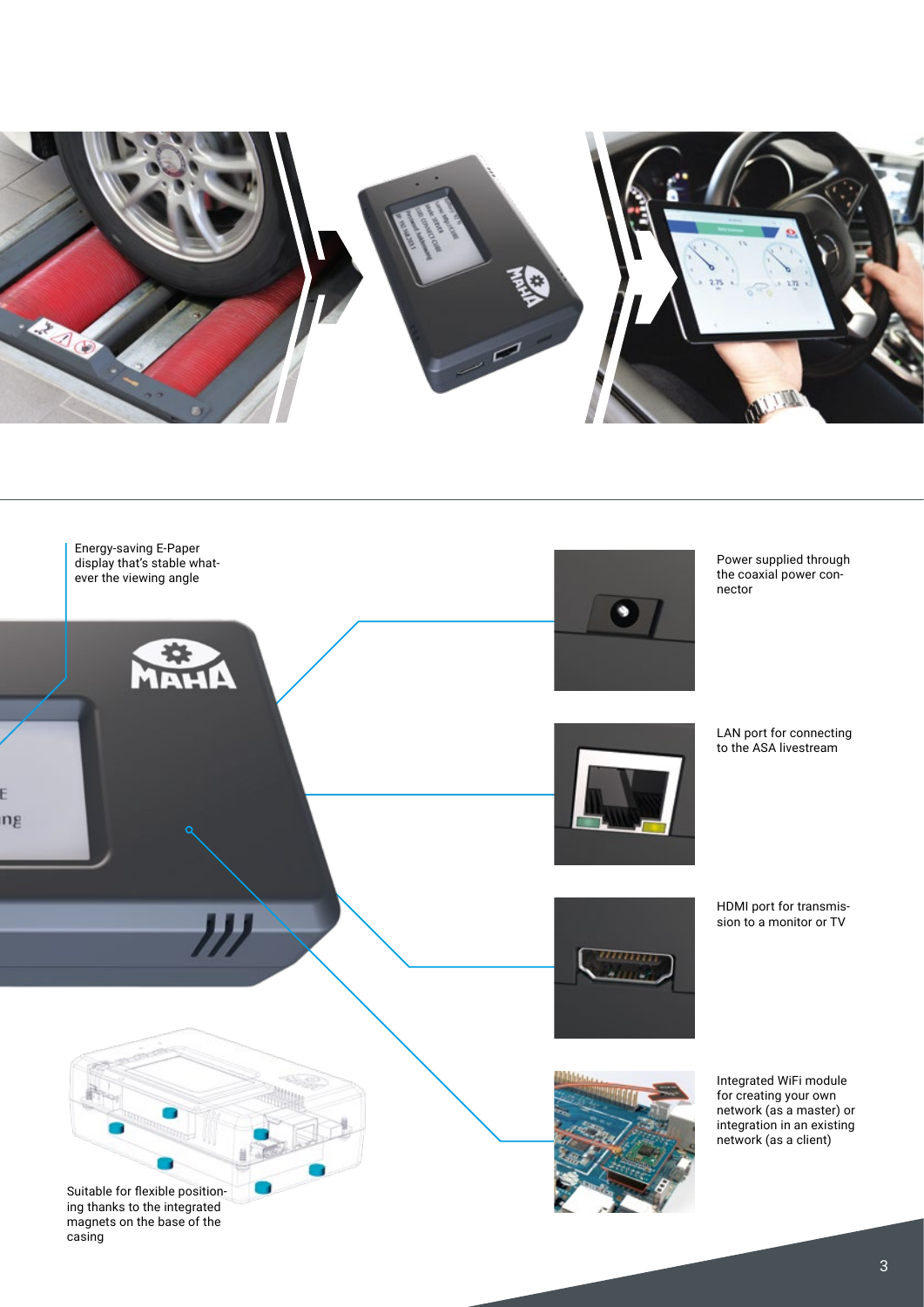